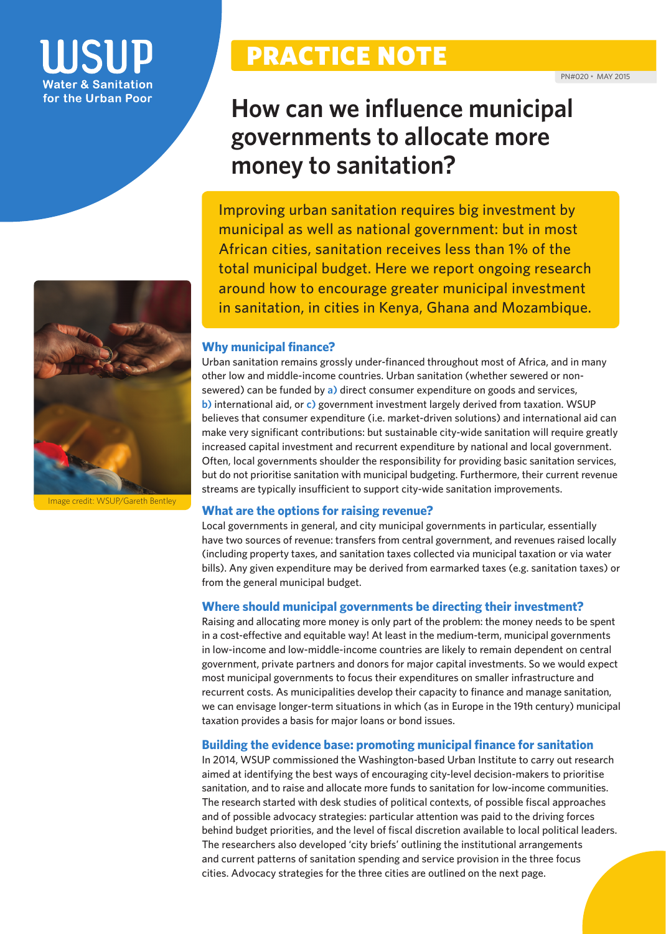# for the Urban Poor



Image credit: WSUP/Gareth Bentley

# PRACTICE NOTE

### **How can we influence municipal governments to allocate more money to sanitation?**

Improving urban sanitation requires big investment by municipal as well as national government: but in most African cities, sanitation receives less than 1% of the total municipal budget. Here we report ongoing research around how to encourage greater municipal investment in sanitation, in cities in Kenya, Ghana and Mozambique.

#### **Why municipal finance?**

Urban sanitation remains grossly under-financed throughout most of Africa, and in many other low and middle-income countries. Urban sanitation (whether sewered or nonsewered) can be funded by **a)** direct consumer expenditure on goods and services, **b)** international aid, or **c)** government investment largely derived from taxation. WSUP believes that consumer expenditure (i.e. market-driven solutions) and international aid can make very significant contributions: but sustainable city-wide sanitation will require greatly increased capital investment and recurrent expenditure by national and local government. Often, local governments shoulder the responsibility for providing basic sanitation services, but do not prioritise sanitation with municipal budgeting. Furthermore, their current revenue streams are typically insufficient to support city-wide sanitation improvements.

#### **What are the options for raising revenue?**

Local governments in general, and city municipal governments in particular, essentially have two sources of revenue: transfers from central government, and revenues raised locally (including property taxes, and sanitation taxes collected via municipal taxation or via water bills). Any given expenditure may be derived from earmarked taxes (e.g. sanitation taxes) or from the general municipal budget.

#### **Where should municipal governments be directing their investment?**

Raising and allocating more money is only part of the problem: the money needs to be spent in a cost-effective and equitable way! At least in the medium-term, municipal governments in low-income and low-middle-income countries are likely to remain dependent on central government, private partners and donors for major capital investments. So we would expect most municipal governments to focus their expenditures on smaller infrastructure and recurrent costs. As municipalities develop their capacity to finance and manage sanitation, we can envisage longer-term situations in which (as in Europe in the 19th century) municipal taxation provides a basis for major loans or bond issues.

#### **Building the evidence base: promoting municipal finance for sanitation**

In 2014, WSUP commissioned the Washington-based Urban Institute to carry out research aimed at identifying the best ways of encouraging city-level decision-makers to prioritise sanitation, and to raise and allocate more funds to sanitation for low-income communities. The research started with desk studies of political contexts, of possible fiscal approaches and of possible advocacy strategies: particular attention was paid to the driving forces behind budget priorities, and the level of fiscal discretion available to local political leaders. The researchers also developed 'city briefs' outlining the institutional arrangements and current patterns of sanitation spending and service provision in the three focus cities. Advocacy strategies for the three cities are outlined on the next page.